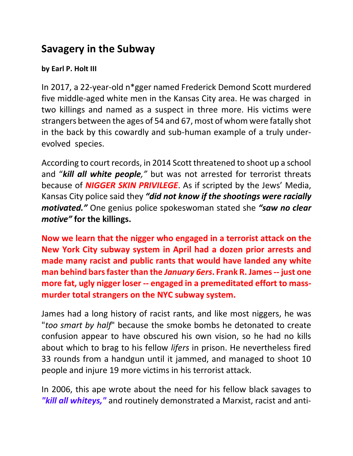## **Savagery in the Subway**

## **by Earl P. Holt III**

In 2017, a 22-year-old n\*gger named Frederick Demond Scott murdered five middle-aged white men in the Kansas City area. He was charged in two killings and named as a suspect in three more. His victims were strangers between the ages of 54 and 67, most of whom were fatally shot in the back by this cowardly and sub-human example of a truly underevolved species.

According to court records, in 2014 Scott threatened to shoot up a school and "*kill all white people,"* but was not arrested for terrorist threats because of *NIGGER SKIN PRIVILEGE*. As if scripted by the Jews' Media, Kansas City police said they *"did not know if the shootings were racially motivated."* One genius police spokeswoman stated she *"saw no clear motive"* **for the killings.** 

**Now we learn that the nigger who engaged in a terrorist attack on the New York City subway system in April had a dozen prior arrests and made many racist and public rants that would have landed any white man behind bars faster than the** *January 6ers***. Frank R. James -- just one more fat, ugly nigger loser -- engaged in a premeditated effort to massmurder total strangers on the NYC subway system.** 

James had a long history of racist rants, and like most niggers, he was "*too smart by half*" because the smoke bombs he detonated to create confusion appear to have obscured his own vision, so he had no kills about which to brag to his fellow *lifers* in prison. He nevertheless fired 33 rounds from a handgun until it jammed, and managed to shoot 10 people and injure 19 more victims in his terrorist attack.

In 2006, this ape wrote about the need for his fellow black savages to *"kill all whiteys,"* and routinely demonstrated a Marxist, racist and anti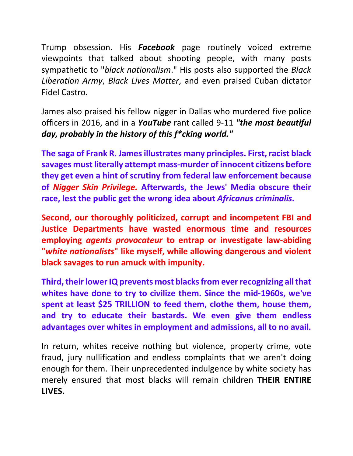Trump obsession. His *Facebook* page routinely voiced extreme viewpoints that talked about shooting people, with many posts sympathetic to "*black nationalism*." His posts also supported the *Black Liberation Army*, *Black Lives Matter*, and even praised Cuban dictator Fidel Castro.

James also praised his fellow nigger in Dallas who murdered five police officers in 2016, and in a *YouTube* rant called 9-11 *"the most beautiful day, probably in the history of this f\*cking world."*

**The saga of Frank R. James illustrates many principles. First, racist black savages must literally attempt mass-murder of innocent citizens before they get even a hint of scrutiny from federal law enforcement because of** *Nigger Skin Privilege.* **Afterwards, the Jews' Media obscure their race, lest the public get the wrong idea about** *Africanus criminalis***.**

**Second, our thoroughly politicized, corrupt and incompetent FBI and Justice Departments have wasted enormous time and resources employing** *agents provocateur* **to entrap or investigate law-abiding "***white nationalists***" like myself, while allowing dangerous and violent black savages to run amuck with impunity.** 

**Third, their lower IQ prevents most blacks from ever recognizing allthat whites have done to try to civilize them. Since the mid-1960s, we've spent at least \$25 TRILLION to feed them, clothe them, house them, and try to educate their bastards. We even give them endless advantages over whites in employment and admissions, all to no avail.**

In return, whites receive nothing but violence, property crime, vote fraud, jury nullification and endless complaints that we aren't doing enough for them. Their unprecedented indulgence by white society has merely ensured that most blacks will remain children **THEIR ENTIRE LIVES.**